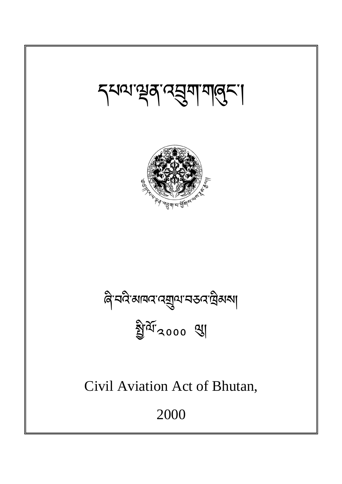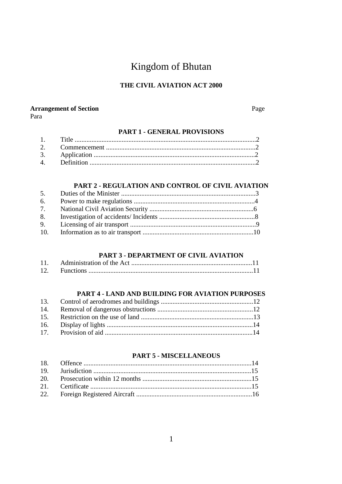# Kingdom of Bhutan

# THE CIVIL AVIATION ACT 2000

# **Arrangement of Section**

Para

Page

### **PART 1 - GENERAL PROVISIONS**

### PART 2 - REGULATION AND CONTROL OF CIVIL AVIATION

| 5. |  |
|----|--|
| 6. |  |
| 7. |  |
| 8. |  |
| 9. |  |
|    |  |
|    |  |

#### PART 3 - DEPARTMENT OF CIVIL AVIATION

| 12. |  |
|-----|--|

#### PART 4 - LAND AND BUILDING FOR AVIATION PURPOSES

### **PART 5 - MISCELLANEOUS**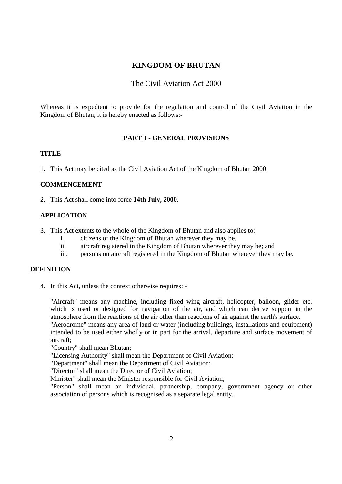### **KINGDOM OF BHUTAN**

### The Civil Aviation Act 2000

Whereas it is expedient to provide for the regulation and control of the Civil Aviation in the Kingdom of Bhutan, it is hereby enacted as follows:-

#### **PART 1 - GENERAL PROVISIONS**

#### **TITLE**

1. This Act may be cited as the Civil Aviation Act of the Kingdom of Bhutan 2000.

#### **COMMENCEMENT**

2. This Act shall come into force **14th July, 2000**.

#### **APPLICATION**

- 3. This Act extents to the whole of the Kingdom of Bhutan and also applies to:
	- i. citizens of the Kingdom of Bhutan wherever they may be,
	- ii. aircraft registered in the Kingdom of Bhutan wherever they may be; and
	- iii. persons on aircraft registered in the Kingdom of Bhutan wherever they may be.

### **DEFINITION**

4. In this Act, unless the context otherwise requires: -

"Aircraft" means any machine, including fixed wing aircraft, helicopter, balloon, glider etc. which is used or designed for navigation of the air, and which can derive support in the atmosphere from the reactions of the air other than reactions of air against the earth's surface. "Aerodrome" means any area of land or water (including buildings, installations and equipment) intended to be used either wholly or in part for the arrival, departure and surface movement of aircraft;

"Country" shall mean Bhutan;

"Licensing Authority" shall mean the Department of Civil Aviation;

"Department" shall mean the Department of Civil Aviation;

"Director" shall mean the Director of Civil Aviation;

Minister" shall mean the Minister responsible for Civil Aviation;

"Person" shall mean an individual, partnership, company, government agency or other association of persons which is recognised as a separate legal entity.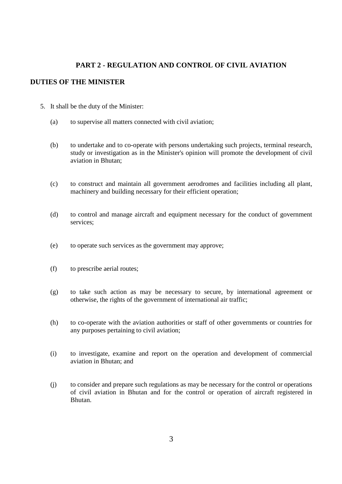### **PART 2 - REGULATION AND CONTROL OF CIVIL AVIATION**

### **DUTIES OF THE MINISTER**

- 5. It shall be the duty of the Minister:
	- (a) to supervise all matters connected with civil aviation;
	- (b) to undertake and to co-operate with persons undertaking such projects, terminal research, study or investigation as in the Minister's opinion will promote the development of civil aviation in Bhutan;
	- (c) to construct and maintain all government aerodromes and facilities including all plant, machinery and building necessary for their efficient operation;
	- (d) to control and manage aircraft and equipment necessary for the conduct of government services;
	- (e) to operate such services as the government may approve;
	- (f) to prescribe aerial routes;
	- (g) to take such action as may be necessary to secure, by international agreement or otherwise, the rights of the government of international air traffic;
	- (h) to co-operate with the aviation authorities or staff of other governments or countries for any purposes pertaining to civil aviation;
	- (i) to investigate, examine and report on the operation and development of commercial aviation in Bhutan; and
	- (j) to consider and prepare such regulations as may be necessary for the control or operations of civil aviation in Bhutan and for the control or operation of aircraft registered in Bhutan.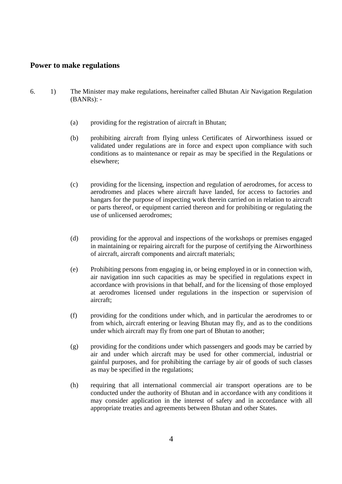### **Power to make regulations**

- 6. 1) The Minister may make regulations, hereinafter called Bhutan Air Navigation Regulation (BANRs): -
	- (a) providing for the registration of aircraft in Bhutan;
	- (b) prohibiting aircraft from flying unless Certificates of Airworthiness issued or validated under regulations are in force and expect upon compliance with such conditions as to maintenance or repair as may be specified in the Regulations or elsewhere;
	- (c) providing for the licensing, inspection and regulation of aerodromes, for access to aerodromes and places where aircraft have landed, for access to factories and hangars for the purpose of inspecting work therein carried on in relation to aircraft or parts thereof, or equipment carried thereon and for prohibiting or regulating the use of unlicensed aerodromes;
	- (d) providing for the approval and inspections of the workshops or premises engaged in maintaining or repairing aircraft for the purpose of certifying the Airworthiness of aircraft, aircraft components and aircraft materials;
	- (e) Prohibiting persons from engaging in, or being employed in or in connection with, air navigation inn such capacities as may be specified in regulations expect in accordance with provisions in that behalf, and for the licensing of those employed at aerodromes licensed under regulations in the inspection or supervision of aircraft;
	- (f) providing for the conditions under which, and in particular the aerodromes to or from which, aircraft entering or leaving Bhutan may fly, and as to the conditions under which aircraft may fly from one part of Bhutan to another;
	- (g) providing for the conditions under which passengers and goods may be carried by air and under which aircraft may be used for other commercial, industrial or gainful purposes, and for prohibiting the carriage by air of goods of such classes as may be specified in the regulations;
	- (h) requiring that all international commercial air transport operations are to be conducted under the authority of Bhutan and in accordance with any conditions it may consider application in the interest of safety and in accordance with all appropriate treaties and agreements between Bhutan and other States.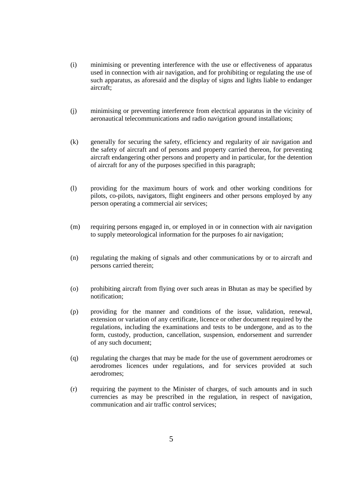- (i) minimising or preventing interference with the use or effectiveness of apparatus used in connection with air navigation, and for prohibiting or regulating the use of such apparatus, as aforesaid and the display of signs and lights liable to endanger aircraft;
- (j) minimising or preventing interference from electrical apparatus in the vicinity of aeronautical telecommunications and radio navigation ground installations;
- (k) generally for securing the safety, efficiency and regularity of air navigation and the safety of aircraft and of persons and property carried thereon, for preventing aircraft endangering other persons and property and in particular, for the detention of aircraft for any of the purposes specified in this paragraph;
- (l) providing for the maximum hours of work and other working conditions for pilots, co-pilots, navigators, flight engineers and other persons employed by any person operating a commercial air services;
- (m) requiring persons engaged in, or employed in or in connection with air navigation to supply meteorological information for the purposes fo air navigation;
- (n) regulating the making of signals and other communications by or to aircraft and persons carried therein;
- (o) prohibiting aircraft from flying over such areas in Bhutan as may be specified by notification;
- (p) providing for the manner and conditions of the issue, validation, renewal, extension or variation of any certificate, licence or other document required by the regulations, including the examinations and tests to be undergone, and as to the form, custody, production, cancellation, suspension, endorsement and surrender of any such document;
- (q) regulating the charges that may be made for the use of government aerodromes or aerodromes licences under regulations, and for services provided at such aerodromes;
- (r) requiring the payment to the Minister of charges, of such amounts and in such currencies as may be prescribed in the regulation, in respect of navigation, communication and air traffic control services;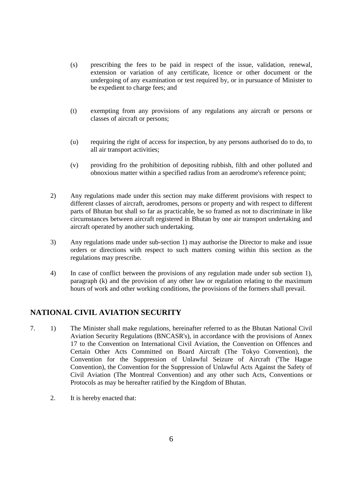- (s) prescribing the fees to be paid in respect of the issue, validation, renewal, extension or variation of any certificate, licence or other document or the undergoing of any examination or test required by, or in pursuance of Minister to be expedient to charge fees; and
- (t) exempting from any provisions of any regulations any aircraft or persons or classes of aircraft or persons;
- (u) requiring the right of access for inspection, by any persons authorised do to do, to all air transport activities;
- (v) providing fro the prohibition of depositing rubbish, filth and other polluted and obnoxious matter within a specified radius from an aerodrome's reference point;
- 2) Any regulations made under this section may make different provisions with respect to different classes of aircraft, aerodromes, persons or property and with respect to different parts of Bhutan but shall so far as practicable, be so framed as not to discriminate in like circumstances between aircraft registered in Bhutan by one air transport undertaking and aircraft operated by another such undertaking.
- 3) Any regulations made under sub-section 1) may authorise the Director to make and issue orders or directions with respect to such matters coming within this section as the regulations may prescribe.
- 4) In case of conflict between the provisions of any regulation made under sub section 1), paragraph (k) and the provision of any other law or regulation relating to the maximum hours of work and other working conditions, the provisions of the formers shall prevail.

# **NATIONAL CIVIL AVIATION SECURITY**

- 7. 1) The Minister shall make regulations, hereinafter referred to as the Bhutan National Civil Aviation Security Regulations (BNCASR's), in accordance with the provisions of Annex 17 to the Convention on International Civil Aviation, the Convention on Offences and Certain Other Acts Committed on Board Aircraft (The Tokyo Convention), the Convention for the Suppression of Unlawful Seizure of Aircraft ('The Hague Convention), the Convention for the Suppression of Unlawful Acts Against the Safety of Civil Aviation (The Montreal Convention) and any other such Acts, Conventions or Protocols as may be hereafter ratified by the Kingdom of Bhutan.
	- 2. It is hereby enacted that: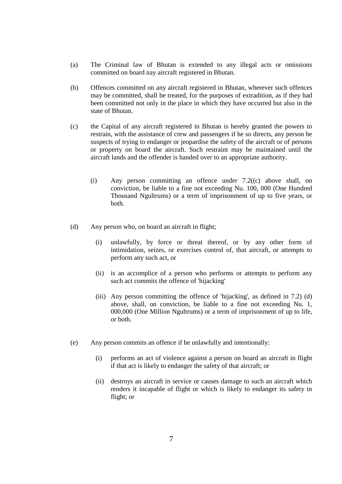- (a) The Criminal law of Bhutan is extended to any illegal acts or omissions committed on board nay aircraft registered in Bhutan.
- (b) Offences committed on any aircraft registered in Bhutan, wherever such offences may be committed, shall be treated, for the purposes of extradition, as if they had been committed not only in the place in which they have occurred but also in the state of Bhutan.
- (c) the Capital of any aircraft registered in Bhutan is hereby granted the powers to restrain, with the assistance of crew and passengers if he so directs, any person he suspects of trying to endanger or jeopardise the safety of the aircraft or of persons or property on board the aircraft. Such restraint may be maintained until the aircraft lands and the offender is handed over to an appropriate authority.
	- (i) Any person committing an offence under 7.2((c) above shall, on conviction, be liable to a fine not exceeding Nu. 100, 000 (One Hundred Thousand Ngultrums) or a term of imprisonment of up to five years, or both.
- (d) Any person who, on board an aircraft in flight;
	- (i) unlawfully, by force or threat thereof, or by any other form of intimidation, seizes, or exercises control of, that aircraft, or attempts to perform any such act, or
	- (ii) is an accomplice of a person who performs or attempts to perform any such act commits the offence of 'hijacking'
	- (iii) Any person committing the offence of 'hijacking', as defined in 7.2) (d) above, shall, on conviction, be liable to a fine not exceeding Nu. 1, 000,000 (One Million Ngultrums) or a term of imprisonment of up to life, or both.
- (e) Any person commits an offence if he unlawfully and intentionally:
	- (i) performs an act of violence against a person on board an aircraft in flight if that act is likely to endanger the safety of that aircraft; or
	- (ii) destroys an aircraft in service or causes damage to such an aircraft which renders it incapable of flight or which is likely to endanger its safety in flight; or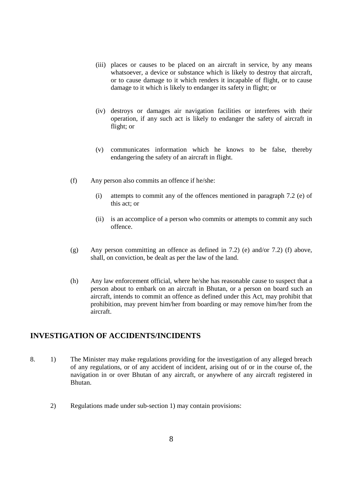- (iii) places or causes to be placed on an aircraft in service, by any means whatsoever, a device or substance which is likely to destroy that aircraft, or to cause damage to it which renders it incapable of flight, or to cause damage to it which is likely to endanger its safety in flight; or
- (iv) destroys or damages air navigation facilities or interferes with their operation, if any such act is likely to endanger the safety of aircraft in flight; or
- (v) communicates information which he knows to be false, thereby endangering the safety of an aircraft in flight.
- (f) Any person also commits an offence if he/she:
	- (i) attempts to commit any of the offences mentioned in paragraph 7.2 (e) of this act; or
	- (ii) is an accomplice of a person who commits or attempts to commit any such offence.
- (g) Any person committing an offence as defined in 7.2) (e) and/or 7.2) (f) above, shall, on conviction, be dealt as per the law of the land.
- (h) Any law enforcement official, where he/she has reasonable cause to suspect that a person about to embark on an aircraft in Bhutan, or a person on board such an aircraft, intends to commit an offence as defined under this Act, may prohibit that prohibition, may prevent him/her from boarding or may remove him/her from the aircraft.

### **INVESTIGATION OF ACCIDENTS/INCIDENTS**

- 8. 1) The Minister may make regulations providing for the investigation of any alleged breach of any regulations, or of any accident of incident, arising out of or in the course of, the navigation in or over Bhutan of any aircraft, or anywhere of any aircraft registered in Bhutan.
	- 2) Regulations made under sub-section 1) may contain provisions: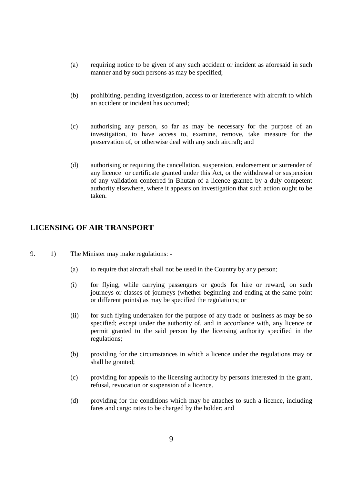- (a) requiring notice to be given of any such accident or incident as aforesaid in such manner and by such persons as may be specified;
- (b) prohibiting, pending investigation, access to or interference with aircraft to which an accident or incident has occurred;
- (c) authorising any person, so far as may be necessary for the purpose of an investigation, to have access to, examine, remove, take measure for the preservation of, or otherwise deal with any such aircraft; and
- (d) authorising or requiring the cancellation, suspension, endorsement or surrender of any licence or certificate granted under this Act, or the withdrawal or suspension of any validation conferred in Bhutan of a licence granted by a duly competent authority elsewhere, where it appears on investigation that such action ought to be taken.

### **LICENSING OF AIR TRANSPORT**

- 9. 1) The Minister may make regulations:
	- (a) to require that aircraft shall not be used in the Country by any person;
	- (i) for flying, while carrying passengers or goods for hire or reward, on such journeys or classes of journeys (whether beginning and ending at the same point or different points) as may be specified the regulations; or
	- (ii) for such flying undertaken for the purpose of any trade or business as may be so specified; except under the authority of, and in accordance with, any licence or permit granted to the said person by the licensing authority specified in the regulations;
	- (b) providing for the circumstances in which a licence under the regulations may or shall be granted;
	- (c) providing for appeals to the licensing authority by persons interested in the grant, refusal, revocation or suspension of a licence.
	- (d) providing for the conditions which may be attaches to such a licence, including fares and cargo rates to be charged by the holder; and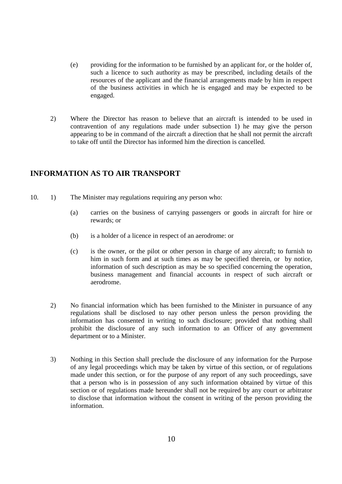- (e) providing for the information to be furnished by an applicant for, or the holder of, such a licence to such authority as may be prescribed, including details of the resources of the applicant and the financial arrangements made by him in respect of the business activities in which he is engaged and may be expected to be engaged.
- 2) Where the Director has reason to believe that an aircraft is intended to be used in contravention of any regulations made under subsection 1) he may give the person appearing to be in command of the aircraft a direction that he shall not permit the aircraft to take off until the Director has informed him the direction is cancelled.

# **INFORMATION AS TO AIR TRANSPORT**

- 10. 1) The Minister may regulations requiring any person who:
	- (a) carries on the business of carrying passengers or goods in aircraft for hire or rewards; or
	- (b) is a holder of a licence in respect of an aerodrome: or
	- (c) is the owner, or the pilot or other person in charge of any aircraft; to furnish to him in such form and at such times as may be specified therein, or by notice, information of such description as may be so specified concerning the operation, business management and financial accounts in respect of such aircraft or aerodrome.
	- 2) No financial information which has been furnished to the Minister in pursuance of any regulations shall be disclosed to nay other person unless the person providing the information has consented in writing to such disclosure; provided that nothing shall prohibit the disclosure of any such information to an Officer of any government department or to a Minister.
	- 3) Nothing in this Section shall preclude the disclosure of any information for the Purpose of any legal proceedings which may be taken by virtue of this section, or of regulations made under this section, or for the purpose of any report of any such proceedings, save that a person who is in possession of any such information obtained by virtue of this section or of regulations made hereunder shall not be required by any court or arbitrator to disclose that information without the consent in writing of the person providing the information.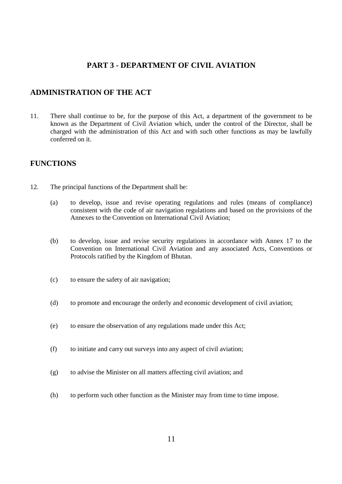### **PART 3 - DEPARTMENT OF CIVIL AVIATION**

### **ADMINISTRATION OF THE ACT**

11. There shall continue to be, for the purpose of this Act, a department of the government to be known as the Department of Civil Aviation which, under the control of the Director, shall be charged with the administration of this Act and with such other functions as may be lawfully conferred on it.

#### **FUNCTIONS**

- 12. The principal functions of the Department shall be:
	- (a) to develop, issue and revise operating regulations and rules (means of compliance) consistent with the code of air navigation regulations and based on the provisions of the Annexes to the Convention on International Civil Aviation;
	- (b) to develop, issue and revise security regulations in accordance with Annex 17 to the Convention on International Civil Aviation and any associated Acts, Conventions or Protocols ratified by the Kingdom of Bhutan.
	- (c) to ensure the safety of air navigation;
	- (d) to promote and encourage the orderly and economic development of civil aviation;
	- (e) to ensure the observation of any regulations made under this Act;
	- (f) to initiate and carry out surveys into any aspect of civil aviation;
	- (g) to advise the Minister on all matters affecting civil aviation; and
	- (h) to perform such other function as the Minister may from time to time impose.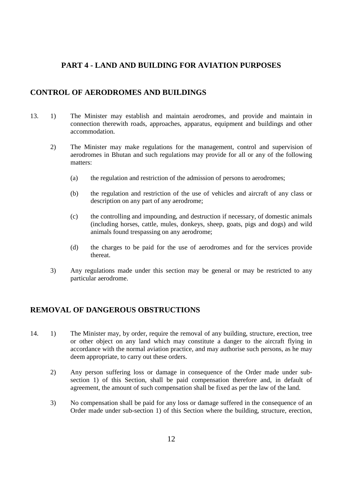# **PART 4 - LAND AND BUILDING FOR AVIATION PURPOSES**

### **CONTROL OF AERODROMES AND BUILDINGS**

- 13. 1) The Minister may establish and maintain aerodromes, and provide and maintain in connection therewith roads, approaches, apparatus, equipment and buildings and other accommodation.
	- 2) The Minister may make regulations for the management, control and supervision of aerodromes in Bhutan and such regulations may provide for all or any of the following matters:
		- (a) the regulation and restriction of the admission of persons to aerodromes;
		- (b) the regulation and restriction of the use of vehicles and aircraft of any class or description on any part of any aerodrome;
		- (c) the controlling and impounding, and destruction if necessary, of domestic animals (including horses, cattle, mules, donkeys, sheep, goats, pigs and dogs) and wild animals found trespassing on any aerodrome;
		- (d) the charges to be paid for the use of aerodromes and for the services provide thereat.
	- 3) Any regulations made under this section may be general or may be restricted to any particular aerodrome.

### **REMOVAL OF DANGEROUS OBSTRUCTIONS**

- 14. 1) The Minister may, by order, require the removal of any building, structure, erection, tree or other object on any land which may constitute a danger to the aircraft flying in accordance with the normal aviation practice, and may authorise such persons, as he may deem appropriate, to carry out these orders.
	- 2) Any person suffering loss or damage in consequence of the Order made under subsection 1) of this Section, shall be paid compensation therefore and, in default of agreement, the amount of such compensation shall be fixed as per the law of the land.
	- 3) No compensation shall be paid for any loss or damage suffered in the consequence of an Order made under sub-section 1) of this Section where the building, structure, erection,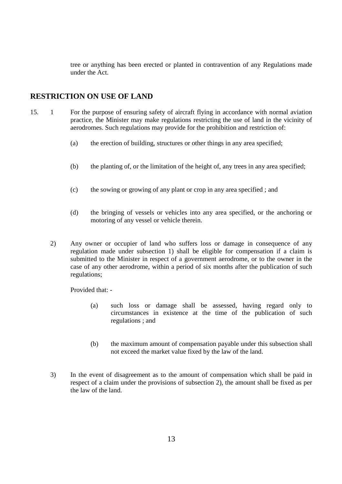tree or anything has been erected or planted in contravention of any Regulations made under the Act.

### **RESTRICTION ON USE OF LAND**

- 15. 1 For the purpose of ensuring safety of aircraft flying in accordance with normal aviation practice, the Minister may make regulations restricting the use of land in the vicinity of aerodromes. Such regulations may provide for the prohibition and restriction of:
	- (a) the erection of building, structures or other things in any area specified;
	- (b) the planting of, or the limitation of the height of, any trees in any area specified;
	- (c) the sowing or growing of any plant or crop in any area specified ; and
	- (d) the bringing of vessels or vehicles into any area specified, or the anchoring or motoring of any vessel or vehicle therein.
	- 2) Any owner or occupier of land who suffers loss or damage in consequence of any regulation made under subsection 1) shall be eligible for compensation if a claim is submitted to the Minister in respect of a government aerodrome, or to the owner in the case of any other aerodrome, within a period of six months after the publication of such regulations;

Provided that: -

- (a) such loss or damage shall be assessed, having regard only to circumstances in existence at the time of the publication of such regulations ; and
- (b) the maximum amount of compensation payable under this subsection shall not exceed the market value fixed by the law of the land.
- 3) In the event of disagreement as to the amount of compensation which shall be paid in respect of a claim under the provisions of subsection 2), the amount shall be fixed as per the law of the land.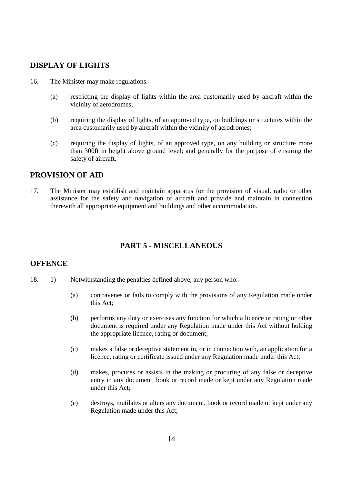### **DISPLAY OF LIGHTS**

- 16. The Minister may make regulations:
	- (a) restricting the display of lights within the area customarily used by aircraft within the vicinity of aerodromes;
	- (b) requiring the display of lights, of an approved type, on buildings or structures within the area customarily used by aircraft within the vicinity of aerodromes;
	- (c) requiring the display of lights, of an approved type, on any building or structure more than 300ft in height above ground level; and generally for the purpose of ensuring the safety of aircraft.

### **PROVISION OF AID**

17. The Minister may establish and maintain apparatus for the provision of visual, radio or other assistance for the safety and navigation of aircraft and provide and maintain in connection therewith all appropriate equipment and buildings and other accommodation.

# **PART 5 - MISCELLANEOUS**

### **OFFENCE**

- 18. 1) Notwithstanding the penalties defined above, any person who:-
	- (a) contravenes or fails to comply with the provisions of any Regulation made under this Act;
	- (b) performs any duty or exercises any function for which a licence or rating or other document is required under any Regulation made under this Act without holding the appropriate licence, rating or document;
	- (c) makes a false or deceptive statement in, or in connection with, an application for a licence, rating or certificate issued under any Regulation made under this Act;
	- (d) makes, procures or assists in the making or procuring of any false or deceptive entry in any document, book or record made or kept under any Regulation made under this Act;
	- (e) destroys, mutilates or alters any document, book or record made or kept under any Regulation made under this Act;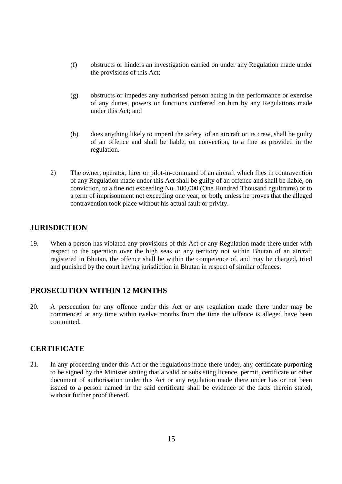- (f) obstructs or hinders an investigation carried on under any Regulation made under the provisions of this Act;
- (g) obstructs or impedes any authorised person acting in the performance or exercise of any duties, powers or functions conferred on him by any Regulations made under this Act; and
- (h) does anything likely to imperil the safety of an aircraft or its crew, shall be guilty of an offence and shall be liable, on convection, to a fine as provided in the regulation.
- 2) The owner, operator, hirer or pilot-in-command of an aircraft which flies in contravention of any Regulation made under this Act shall be guilty of an offence and shall be liable, on conviction, to a fine not exceeding Nu. 100,000 (One Hundred Thousand ngultrums) or to a term of imprisonment not exceeding one year, or both, unless he proves that the alleged contravention took place without his actual fault or privity.

### **JURISDICTION**

19. When a person has violated any provisions of this Act or any Regulation made there under with respect to the operation over the high seas or any territory not within Bhutan of an aircraft registered in Bhutan, the offence shall be within the competence of, and may be charged, tried and punished by the court having jurisdiction in Bhutan in respect of similar offences.

### **PROSECUTION WITHIN 12 MONTHS**

20. A persecution for any offence under this Act or any regulation made there under may be commenced at any time within twelve months from the time the offence is alleged have been committed.

### **CERTIFICATE**

21. In any proceeding under this Act or the regulations made there under, any certificate purporting to be signed by the Minister stating that a valid or subsisting licence, permit, certificate or other document of authorisation under this Act or any regulation made there under has or not been issued to a person named in the said certificate shall be evidence of the facts therein stated, without further proof thereof.